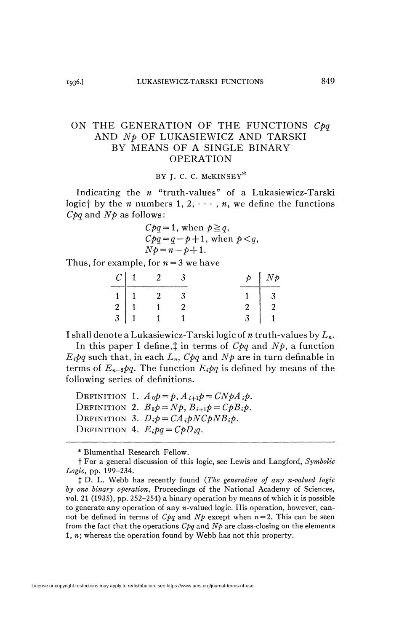## ON THE GENERATION OF THE FUNCTIONS C<sub>pq</sub> AND *Np* OF LUKASIEWICZ AND TARSKI BY MEANS OF A SINGLE BINARY OPERATION

BY I. C. C. McKINSEY\*

Indicating the *n* "truth-values" of a Lukasiewicz-Tarski logic<sup>†</sup> by the *n* numbers 1, 2,  $\cdots$ , *n*, we define the functions *Cpq* and *Np* as follows :

$$
Cpq = 1, when p \geq q,
$$
  
\n
$$
Cpq = q - p + 1, when p < q,
$$
  
\n
$$
Np = n - p + 1.
$$

Thus, for example, for *n* = 3 we have

| $\mathcal{C}$ | ---- | Þ<br>-----<br><b>STARTING</b> | $\phi$<br>1 V |
|---------------|------|-------------------------------|---------------|
|               |      |                               |               |
|               |      |                               |               |
| $\mathbf 2$   |      |                               |               |

I shall denote a Lukasiewicz-Tarski logic of *n* truth-values by *Ln.* 

In this paper I define,*t* in terms of *Cpq* and *Np,* a function  $E_i p q$  such that, in each  $L_n$ ,  $C p q$  and  $N p$  are in turn definable in terms of  $E_{n-2}pq$ . The function  $E_ipq$  is defined by means of the following series of definitions.

DEFINITION 1.  $A_0 p = p$ ,  $A_{i+1} p = C N p A_i p$ . DEFINITION 2.  $B_0 p = Np$ ,  $B_{i+1} p = C p B_i p$ . DEFINITION 3.  $D_i p = CA_i p N C p N B_i p$ . DEFINITION 4.  $E_i p q = C p D_i q$ .

\* Blumenthal Research Fellow.

t For a general discussion of this logic, see Lewis and Langford, *Symbolic Logic,* pp. 199-234.

J D. L. Webb has recently found *(The generation of any n-valued logic by one binary operation,* Proceedings of the National Academy of Sciences, vol. 21 (1935), pp. 252-254) a binary operation by means of which it is possible to generate any operation of any  $n$ -valued logic. His operation, however, cannot be defined in terms of  $Cpq$  and  $Np$  except when  $n = 2$ . This can be seen from the fact that the operations  $Cpq$  and  $Np$  are class-closing on the elements 1, *n;* whereas the operation found by Webb has not this property.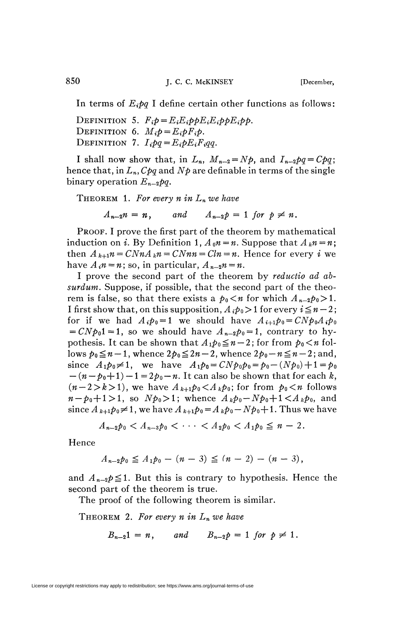In terms of  $E_i p q$  I define certain other functions as follows:

DEFINITION 5.  $F_i p = E_i E_i p p E_i E_i p p E_i p p$ . DEFINITION 6.  $M_i p = E_i p F_i p$ . DEFINITION 7.  $I_i pq = E_i p E_i F_i qq$ .

I shall now show that, in  $L_n$ ,  $M_{n-2}=Np$ , and  $I_{n-2}pq=Cpq$ ; hence that, in *Ln, Cpq* and *Np* are definable in terms of the single binary operation  $E_{n-2}pq$ .

THEOREM 1. For every  $n$  in  $L_n$  we have

 $A_{n-2}n = n$ , and  $A_{n-2}p = 1$  for  $p \neq n$ .

PROOF. I prove the first part of the theorem by mathematical induction on *i*. By Definition 1,  $A_0n = n$ . Suppose that  $A_kn = n$ ; then  $A_{k+1}n = CNnA_kn = CNn n = Cln = n$ . Hence for every *i* we have  $A_i n = n$ ; so, in particular,  $A_{n-2} n = n$ .

I prove the second part of the theorem by *reductio ad absurdum.* Suppose, if possible, that the second part of the theorem is false, so that there exists a  $p_0 < n$  for which  $A_{n-2}p_0 > 1$ . I first show that, on this supposition,  $A_i p_0 > 1$  for every  $i \leq n-2$ ; for if we had  $A_i \phi_0 = 1$  we should have  $A_{i+1} \phi_0 = C N \phi_0 A_i \phi_0$  $= CNp_01 = 1$ , so we should have  $A_{n-2}p_0 = 1$ , contrary to hypothesis. It can be shown that  $A_1 p_0 \leq n-2$ ; for from  $p_0 < n$  follows  $p_0 \leq n-1$ , whence  $2p_0 \leq 2n-2$ , whence  $2p_0 - n \leq n-2$ ; and, since  $A_1p_0 \neq 1$ , we have  $A_1p_0 = CNp_0p_0 = p_0 - (Np_0) + 1 = p_0$  $-(n-p_0+1)-1=2p_0-n$ . It can also be shown that for each k,  $(n-2>k>1)$ , we have  $A_{k+1}p_0 \lt A_k p_0$ ; for from  $p_0 \lt n$  follows  $n - p_0 + 1 > 1$ , so  $Np_0 > 1$ ; whence  $A_k p_0 - Np_0 + 1 < A_k p_0$ , and  $\sin$ ce  $A_{k+1}p_0\neq 1$ , we have  $A_{k+1}p_0$  =  $A_kp_0$  –  $Np_0+1$ . Thus we have

$$
A_{n-2}p_0 < A_{n-3}p_0 < \cdots < A_2p_0 < A_1p_0 \leq n-2.
$$

Hence

$$
A_{n-2}p_0 \leq A_1p_0 - (n-3) \leq (n-2) - (n-3),
$$

and  $A_{n-2} p \leq 1$ . But this is contrary to hypothesis. Hence the second part of the theorem is true.

The proof of the following theorem is similar.

THEOREM 2. For every n in  $L_n$  we have

$$
B_{n-2}1 = n, \qquad and \qquad B_{n-2}p = 1 \text{ for } p \neq 1.
$$

License or copyright restrictions may apply to redistribution; see https://www.ams.org/journal-terms-of-use